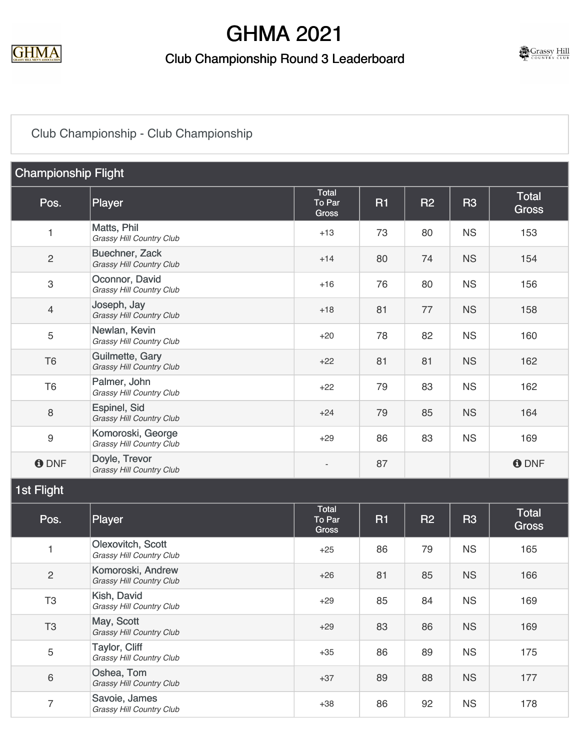

#### Club Championship Round 3 Leaderboard



## [Club Championship - Club Championship](https://cdn2.golfgenius.com/v2tournaments/7722873405665464680?called_from=&round_index=23)

| <b>Championship Flight</b> |                                                        |                          |    |           |           |                              |  |
|----------------------------|--------------------------------------------------------|--------------------------|----|-----------|-----------|------------------------------|--|
| Pos.                       | Player                                                 | Total<br>To Par<br>Gross | R1 | <b>R2</b> | <b>R3</b> | <b>Total</b><br><b>Gross</b> |  |
| 1                          | Matts, Phil<br>Grassy Hill Country Club                | $+13$                    | 73 | 80        | <b>NS</b> | 153                          |  |
| $\sqrt{2}$                 | Buechner, Zack<br><b>Grassy Hill Country Club</b>      | $+14$                    | 80 | 74        | <b>NS</b> | 154                          |  |
| $\ensuremath{\mathsf{3}}$  | Oconnor, David<br><b>Grassy Hill Country Club</b>      | $+16$                    | 76 | 80        | <b>NS</b> | 156                          |  |
| $\overline{4}$             | Joseph, Jay<br><b>Grassy Hill Country Club</b>         | $+18$                    | 81 | 77        | <b>NS</b> | 158                          |  |
| $\sqrt{5}$                 | Newlan, Kevin<br><b>Grassy Hill Country Club</b>       | $+20$                    | 78 | 82        | <b>NS</b> | 160                          |  |
| T <sub>6</sub>             | Guilmette, Gary<br><b>Grassy Hill Country Club</b>     | $+22$                    | 81 | 81        | <b>NS</b> | 162                          |  |
| T <sub>6</sub>             | Palmer, John<br><b>Grassy Hill Country Club</b>        | $+22$                    | 79 | 83        | <b>NS</b> | 162                          |  |
| $\, 8$                     | <b>Espinel, Sid</b><br><b>Grassy Hill Country Club</b> | $+24$                    | 79 | 85        | <b>NS</b> | 164                          |  |
| $\boldsymbol{9}$           | Komoroski, George<br>Grassy Hill Country Club          | $+29$                    | 86 | 83        | <b>NS</b> | 169                          |  |
| <b>ODNF</b>                | Doyle, Trevor<br>Grassy Hill Country Club              |                          | 87 |           |           | <b>O</b> DNF                 |  |
| 1st Flight                 |                                                        |                          |    |           |           |                              |  |
| Pos.                       | Player                                                 | Total<br>To Par<br>Gross | R1 | <b>R2</b> | <b>R3</b> | <b>Total</b><br><b>Gross</b> |  |
| 1                          | Olexovitch, Scott<br>Grassy Hill Country Club          | $+25$                    | 86 | 79        | <b>NS</b> | 165                          |  |
| $\overline{c}$             | Komoroski, Andrew<br><b>Grassy Hill Country Club</b>   | $+26$                    | 81 | 85        | <b>NS</b> | 166                          |  |
| T <sub>3</sub>             | Kish, David<br>Grassy Hill Country Club                | $+29$                    | 85 | 84        | <b>NS</b> | 169                          |  |
| T <sub>3</sub>             | May, Scott<br>Grassy Hill Country Club                 | $+29$                    | 83 | 86        | <b>NS</b> | 169                          |  |
| $\mathbf 5$                | Taylor, Cliff<br>Grassy Hill Country Club              | $+35$                    | 86 | 89        | <b>NS</b> | 175                          |  |
| $\,6\,$                    | Oshea, Tom<br>Grassy Hill Country Club                 | $+37$                    | 89 | 88        | <b>NS</b> | 177                          |  |
| $\overline{7}$             | Savoie, James<br>Grassy Hill Country Club              | $+38$                    | 86 | 92        | <b>NS</b> | 178                          |  |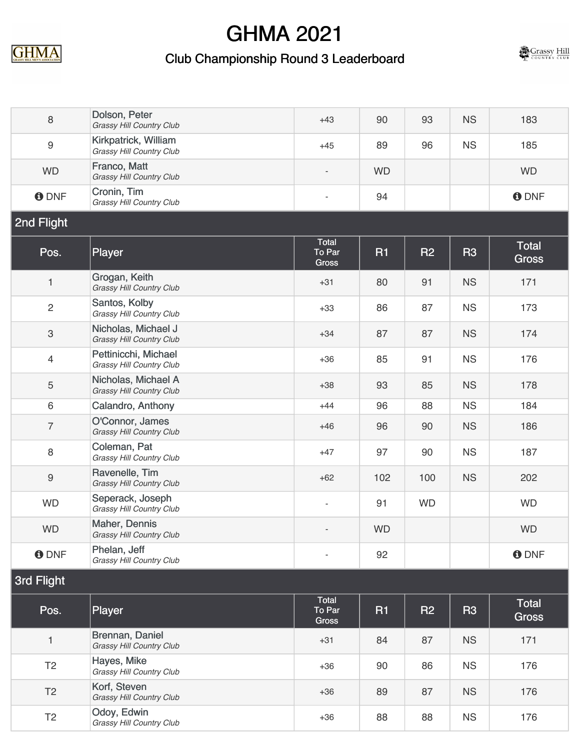

## Club Championship Round 3 Leaderboard



| 8                         | Dolson, Peter<br>Grassy Hill Country Club              | $+43$                           | 90        | 93             | <b>NS</b> | 183                          |  |
|---------------------------|--------------------------------------------------------|---------------------------------|-----------|----------------|-----------|------------------------------|--|
| $\boldsymbol{9}$          | Kirkpatrick, William<br>Grassy Hill Country Club       | $+45$                           | 89        | 96             | <b>NS</b> | 185                          |  |
| <b>WD</b>                 | Franco, Matt<br>Grassy Hill Country Club               |                                 | <b>WD</b> |                |           | <b>WD</b>                    |  |
| <b>O</b> DNF              | Cronin, Tim<br>Grassy Hill Country Club                | $\overline{\phantom{a}}$        | 94        |                |           | <b>O</b> DNF                 |  |
| 2nd Flight                |                                                        |                                 |           |                |           |                              |  |
| Pos.                      | Player                                                 | Total<br>To Par<br><b>Gross</b> | <b>R1</b> | R <sub>2</sub> | <b>R3</b> | <b>Total</b><br><b>Gross</b> |  |
| 1                         | Grogan, Keith<br>Grassy Hill Country Club              | $+31$                           | 80        | 91             | <b>NS</b> | 171                          |  |
| $\overline{c}$            | Santos, Kolby<br>Grassy Hill Country Club              | $+33$                           | 86        | 87             | <b>NS</b> | 173                          |  |
| $\ensuremath{\mathsf{3}}$ | Nicholas, Michael J<br><b>Grassy Hill Country Club</b> | $+34$                           | 87        | 87             | <b>NS</b> | 174                          |  |
| $\overline{4}$            | Pettinicchi, Michael<br>Grassy Hill Country Club       | $+36$                           | 85        | 91             | <b>NS</b> | 176                          |  |
| 5                         | Nicholas, Michael A<br><b>Grassy Hill Country Club</b> | $+38$                           | 93        | 85             | <b>NS</b> | 178                          |  |
| 6                         | Calandro, Anthony                                      | $+44$                           | 96        | 88             | <b>NS</b> | 184                          |  |
| $\overline{7}$            | O'Connor, James<br>Grassy Hill Country Club            | $+46$                           | 96        | 90             | <b>NS</b> | 186                          |  |
| $\,8\,$                   | Coleman, Pat<br>Grassy Hill Country Club               | $+47$                           | 97        | 90             | <b>NS</b> | 187                          |  |
| $\boldsymbol{9}$          | Ravenelle, Tim<br><b>Grassy Hill Country Club</b>      | $+62$                           | 102       | 100            | <b>NS</b> | 202                          |  |
| <b>WD</b>                 | Seperack, Joseph<br>Grassy Hill Country Club           | $\overline{\phantom{a}}$        | 91        | <b>WD</b>      |           | <b>WD</b>                    |  |
| <b>WD</b>                 | Maher, Dennis<br><b>Grassy Hill Country Club</b>       |                                 | <b>WD</b> |                |           | <b>WD</b>                    |  |
| <b>ODNF</b>               | Phelan, Jeff<br>Grassy Hill Country Club               | $\overline{\phantom{a}}$        | 92        |                |           | <b>O</b> DNF                 |  |
| 3rd Flight                |                                                        |                                 |           |                |           |                              |  |
| Pos.                      | Player                                                 | Total<br>To Par<br><b>Gross</b> | <b>R1</b> | <b>R2</b>      | <b>R3</b> | <b>Total</b><br><b>Gross</b> |  |
| 1                         | Brennan, Daniel<br><b>Grassy Hill Country Club</b>     | $+31$                           | 84        | 87             | <b>NS</b> | 171                          |  |
| T <sub>2</sub>            | Hayes, Mike<br><b>Grassy Hill Country Club</b>         | $+36$                           | 90        | 86             | <b>NS</b> | 176                          |  |
| T <sub>2</sub>            | Korf, Steven<br><b>Grassy Hill Country Club</b>        | $+36$                           | 89        | 87             | <b>NS</b> | 176                          |  |
| T <sub>2</sub>            | Odoy, Edwin<br>Grassy Hill Country Club                | $+36$                           | 88        | 88             | <b>NS</b> | 176                          |  |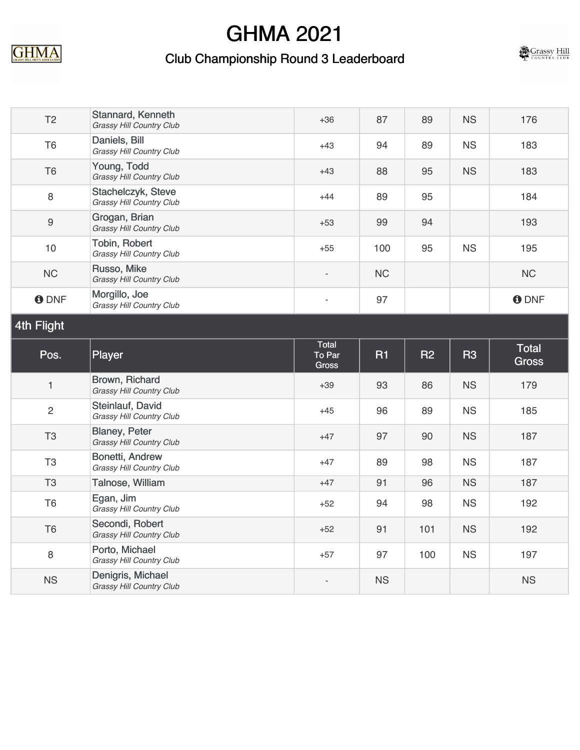

### Club Championship Round 3 Leaderboard



| T <sub>2</sub> | Stannard, Kenneth<br>Grassy Hill Country Club         | $+36$           | 87        | 89        | <b>NS</b> | 176                          |  |
|----------------|-------------------------------------------------------|-----------------|-----------|-----------|-----------|------------------------------|--|
| T <sub>6</sub> | Daniels, Bill<br>Grassy Hill Country Club             | $+43$           | 94        | 89        | <b>NS</b> | 183                          |  |
| T <sub>6</sub> | Young, Todd<br>Grassy Hill Country Club               | $+43$           | 88        | 95        | <b>NS</b> | 183                          |  |
| 8              | Stachelczyk, Steve<br><b>Grassy Hill Country Club</b> | $+44$           | 89        | 95        |           | 184                          |  |
| $\overline{9}$ | Grogan, Brian<br><b>Grassy Hill Country Club</b>      | $+53$           | 99        | 94        |           | 193                          |  |
| 10             | Tobin, Robert<br>Grassy Hill Country Club             | $+55$           | 100       | 95        | <b>NS</b> | 195                          |  |
| <b>NC</b>      | Russo, Mike<br>Grassy Hill Country Club               | $\overline{a}$  | <b>NC</b> |           |           | NC                           |  |
| <b>O</b> DNF   | Morgillo, Joe<br>Grassy Hill Country Club             | ÷               | 97        |           |           | <b>O</b> DNF                 |  |
| 4th Flight     |                                                       |                 |           |           |           |                              |  |
|                |                                                       | Total           |           |           |           |                              |  |
| Pos.           | Player                                                | To Par<br>Gross | <b>R1</b> | <b>R2</b> | <b>R3</b> | <b>Total</b><br><b>Gross</b> |  |
| 1              | Brown, Richard<br><b>Grassy Hill Country Club</b>     | $+39$           | 93        | 86        | <b>NS</b> | 179                          |  |
| $\overline{c}$ | Steinlauf, David<br>Grassy Hill Country Club          | $+45$           | 96        | 89        | <b>NS</b> | 185                          |  |
| T <sub>3</sub> | Blaney, Peter<br><b>Grassy Hill Country Club</b>      | $+47$           | 97        | 90        | <b>NS</b> | 187                          |  |
| T <sub>3</sub> | Bonetti, Andrew<br>Grassy Hill Country Club           | $+47$           | 89        | 98        | <b>NS</b> | 187                          |  |
| T <sub>3</sub> | Talnose, William                                      | $+47$           | 91        | 96        | <b>NS</b> | 187                          |  |
| T <sub>6</sub> | Egan, Jim<br>Grassy Hill Country Club                 | $+52$           | 94        | 98        | <b>NS</b> | 192                          |  |
| T <sub>6</sub> | Secondi, Robert<br>Grassy Hill Country Club           | $+52$           | 91        | 101       | <b>NS</b> | 192                          |  |
| 8              | Porto, Michael<br>Grassy Hill Country Club            | $+57$           | 97        | 100       | <b>NS</b> | 197                          |  |